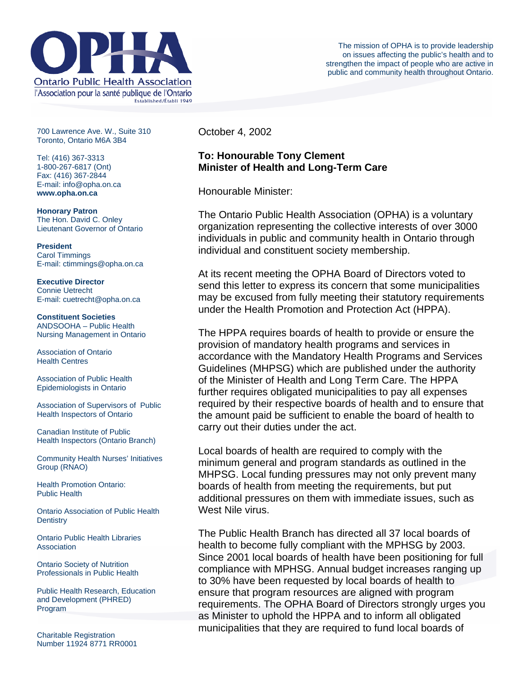

700 Lawrence Ave. W., Suite 310 Toronto, Ontario M6A 3B4

Tel: (416) 367-3313 1-800-267-6817 (Ont) Fax: (416) 367-2844 E-mail: info@opha.on.ca **www.opha.on.ca** 

**Honorary Patron**  The Hon. David C. Onley Lieutenant Governor of Ontario

**President**  Carol Timmings E-mail: ctimmings@opha.on.ca

**Executive Director**  Connie Uetrecht E-mail: cuetrecht@opha.on.ca

**Constituent Societies**  ANDSOOHA – Public Health Nursing Management in Ontario

Association of Ontario Health Centres

Association of Public Health Epidemiologists in Ontario

Association of Supervisors of Public Health Inspectors of Ontario

Canadian Institute of Public Health Inspectors (Ontario Branch)

Community Health Nurses' Initiatives Group (RNAO)

Health Promotion Ontario: Public Health

Ontario Association of Public Health **Dentistry** 

Ontario Public Health Libraries **Association** 

Ontario Society of Nutrition Professionals in Public Health

Public Health Research, Education and Development (PHRED) Program

Charitable Registration Number 11924 8771 RR0001 October 4, 2002

## **To: Honourable Tony Clement Minister of Health and Long-Term Care**

Honourable Minister:

The Ontario Public Health Association (OPHA) is a voluntary organization representing the collective interests of over 3000 individuals in public and community health in Ontario through individual and constituent society membership.

At its recent meeting the OPHA Board of Directors voted to send this letter to express its concern that some municipalities may be excused from fully meeting their statutory requirements under the Health Promotion and Protection Act (HPPA).

The HPPA requires boards of health to provide or ensure the provision of mandatory health programs and services in accordance with the Mandatory Health Programs and Services Guidelines (MHPSG) which are published under the authority of the Minister of Health and Long Term Care. The HPPA further requires obligated municipalities to pay all expenses required by their respective boards of health and to ensure that the amount paid be sufficient to enable the board of health to carry out their duties under the act.

Local boards of health are required to comply with the minimum general and program standards as outlined in the MHPSG. Local funding pressures may not only prevent many boards of health from meeting the requirements, but put additional pressures on them with immediate issues, such as West Nile virus.

The Public Health Branch has directed all 37 local boards of health to become fully compliant with the MPHSG by 2003. Since 2001 local boards of health have been positioning for full compliance with MPHSG. Annual budget increases ranging up to 30% have been requested by local boards of health to ensure that program resources are aligned with program requirements. The OPHA Board of Directors strongly urges you as Minister to uphold the HPPA and to inform all obligated municipalities that they are required to fund local boards of